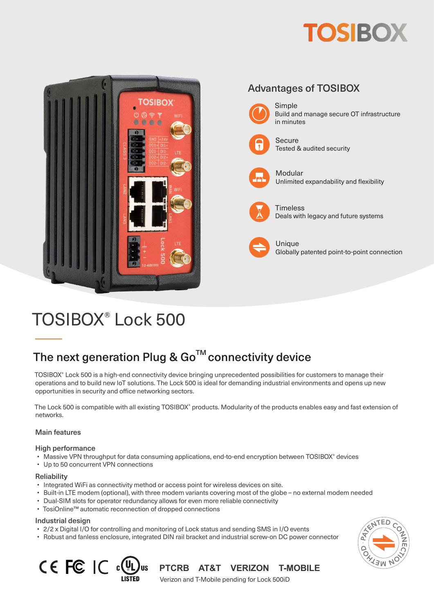# **TOSIBOX**



## TOSIBOX® Lock 500

### The next generation Plug &  $Go^{TM}$  connectivity device

TOSIBOX® Lock 500 is a high-end connectivity device bringing unprecedented possibilities for customers to manage their operations and to build new IoT solutions. The Lock 500 is ideal for demanding industrial environments and opens up new opportunities in security and office networking sectors.

The Lock 500 is compatible with all existing TOSIBOX® products. Modularity of the products enables easy and fast extension of networks.

#### Main features

#### High performance

- Massive VPN throughput for data consuming applications, end-to-end encryption between TOSIBOX® devices
- Up to 50 concurrent VPN connections

#### **Reliability**

- Integrated WiFi as connectivity method or access point for wireless devices on site.
- Built-in LTE modem (optional), with three modem variants covering most of the globe no external modem needed
- Dual-SIM slots for operator redundancy allows for even more reliable connectivity
- TosiOnline™ automatic reconnection of dropped connections

#### Industrial design

- 2/2 x Digital I/O for controlling and monitoring of Lock status and sending SMS in I/O events
- Robust and fanless enclosure, integrated DIN rail bracket and industrial screw-on DC power connector



**CE FC IC CULU** US PTCRB AT&T VERIZON T-MOBILE Verizon and T-Mobile pending for Lock 500iD